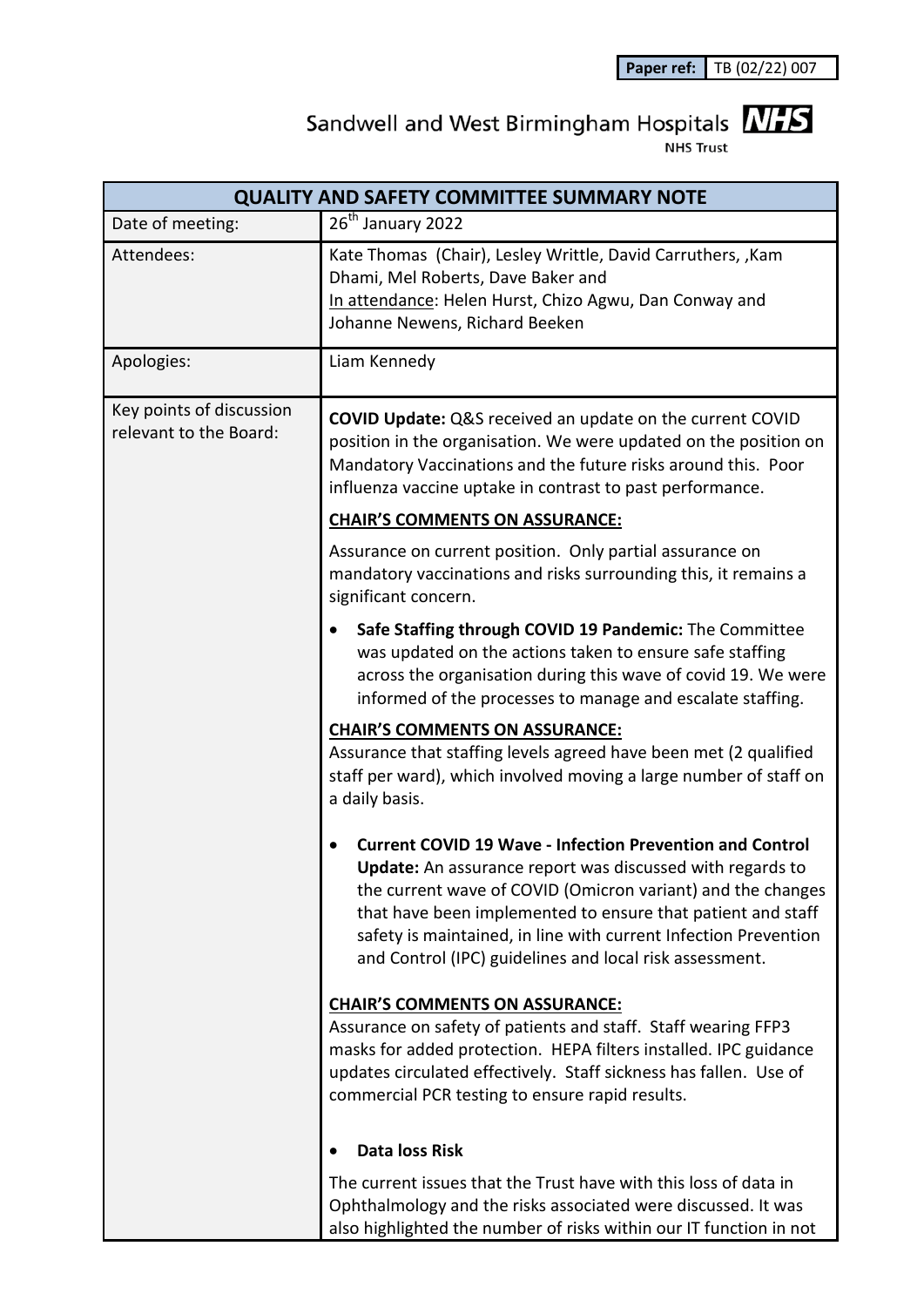## Sandwell and West Birmingham Hospitals **NHS**

.<br>NHS Trust

| <b>QUALITY AND SAFETY COMMITTEE SUMMARY NOTE</b>   |                                                                                                                                                                                                                                                                                                                                                                                                 |
|----------------------------------------------------|-------------------------------------------------------------------------------------------------------------------------------------------------------------------------------------------------------------------------------------------------------------------------------------------------------------------------------------------------------------------------------------------------|
| Date of meeting:                                   | 26 <sup>th</sup> January 2022                                                                                                                                                                                                                                                                                                                                                                   |
| Attendees:                                         | Kate Thomas (Chair), Lesley Writtle, David Carruthers, , Kam<br>Dhami, Mel Roberts, Dave Baker and<br>In attendance: Helen Hurst, Chizo Agwu, Dan Conway and<br>Johanne Newens, Richard Beeken                                                                                                                                                                                                  |
| Apologies:                                         | Liam Kennedy                                                                                                                                                                                                                                                                                                                                                                                    |
| Key points of discussion<br>relevant to the Board: | <b>COVID Update:</b> Q&S received an update on the current COVID<br>position in the organisation. We were updated on the position on<br>Mandatory Vaccinations and the future risks around this. Poor<br>influenza vaccine uptake in contrast to past performance.                                                                                                                              |
|                                                    | <b>CHAIR'S COMMENTS ON ASSURANCE:</b>                                                                                                                                                                                                                                                                                                                                                           |
|                                                    | Assurance on current position. Only partial assurance on<br>mandatory vaccinations and risks surrounding this, it remains a<br>significant concern.                                                                                                                                                                                                                                             |
|                                                    | Safe Staffing through COVID 19 Pandemic: The Committee<br>was updated on the actions taken to ensure safe staffing<br>across the organisation during this wave of covid 19. We were<br>informed of the processes to manage and escalate staffing.                                                                                                                                               |
|                                                    | <b>CHAIR'S COMMENTS ON ASSURANCE:</b><br>Assurance that staffing levels agreed have been met (2 qualified<br>staff per ward), which involved moving a large number of staff on<br>a daily basis.                                                                                                                                                                                                |
|                                                    | <b>Current COVID 19 Wave - Infection Prevention and Control</b><br><b>Update:</b> An assurance report was discussed with regards to<br>the current wave of COVID (Omicron variant) and the changes<br>that have been implemented to ensure that patient and staff<br>safety is maintained, in line with current Infection Prevention<br>and Control (IPC) guidelines and local risk assessment. |
|                                                    | <b>CHAIR'S COMMENTS ON ASSURANCE:</b><br>Assurance on safety of patients and staff. Staff wearing FFP3<br>masks for added protection. HEPA filters installed. IPC guidance<br>updates circulated effectively. Staff sickness has fallen. Use of<br>commercial PCR testing to ensure rapid results.                                                                                              |
|                                                    | <b>Data loss Risk</b>                                                                                                                                                                                                                                                                                                                                                                           |
|                                                    | The current issues that the Trust have with this loss of data in<br>Ophthalmology and the risks associated were discussed. It was<br>also highlighted the number of risks within our IT function in not                                                                                                                                                                                         |